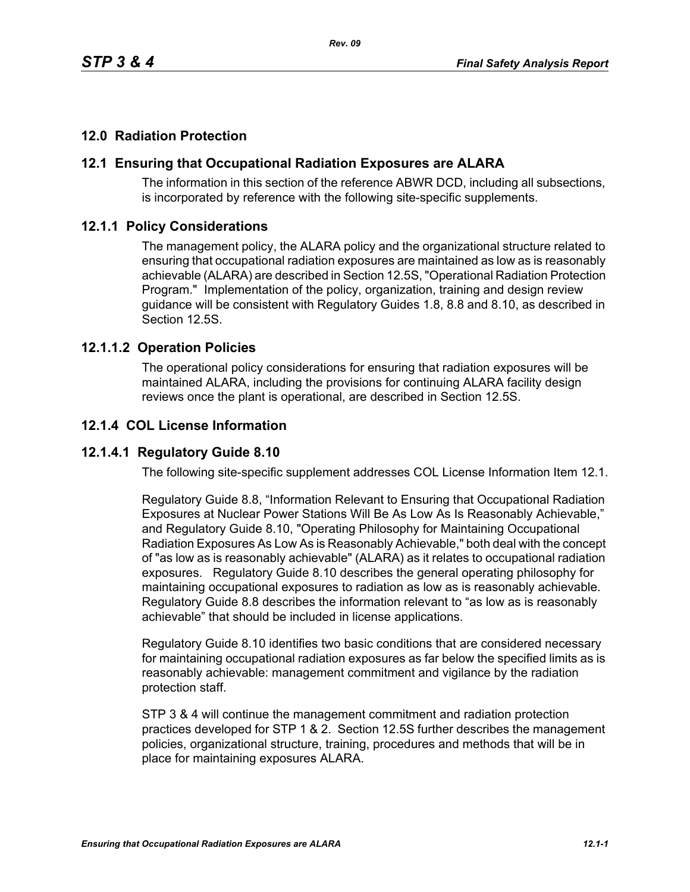# **12.0 Radiation Protection**

### **12.1 Ensuring that Occupational Radiation Exposures are ALARA**

The information in this section of the reference ABWR DCD, including all subsections, is incorporated by reference with the following site-specific supplements.

#### **12.1.1 Policy Considerations**

The management policy, the ALARA policy and the organizational structure related to ensuring that occupational radiation exposures are maintained as low as is reasonably achievable (ALARA) are described in Section 12.5S, "Operational Radiation Protection Program." Implementation of the policy, organization, training and design review guidance will be consistent with Regulatory Guides 1.8, 8.8 and 8.10, as described in Section 12.5S.

#### **12.1.1.2 Operation Policies**

The operational policy considerations for ensuring that radiation exposures will be maintained ALARA, including the provisions for continuing ALARA facility design reviews once the plant is operational, are described in Section 12.5S.

#### **12.1.4 COL License Information**

### **12.1.4.1 Regulatory Guide 8.10**

The following site-specific supplement addresses COL License Information Item 12.1.

Regulatory Guide 8.8, "Information Relevant to Ensuring that Occupational Radiation Exposures at Nuclear Power Stations Will Be As Low As Is Reasonably Achievable," and Regulatory Guide 8.10, "Operating Philosophy for Maintaining Occupational Radiation Exposures As Low As is Reasonably Achievable," both deal with the concept of "as low as is reasonably achievable" (ALARA) as it relates to occupational radiation exposures. Regulatory Guide 8.10 describes the general operating philosophy for maintaining occupational exposures to radiation as low as is reasonably achievable. Regulatory Guide 8.8 describes the information relevant to "as low as is reasonably achievable" that should be included in license applications.

Regulatory Guide 8.10 identifies two basic conditions that are considered necessary for maintaining occupational radiation exposures as far below the specified limits as is reasonably achievable: management commitment and vigilance by the radiation protection staff.

STP 3 & 4 will continue the management commitment and radiation protection practices developed for STP 1 & 2. Section 12.5S further describes the management policies, organizational structure, training, procedures and methods that will be in place for maintaining exposures ALARA.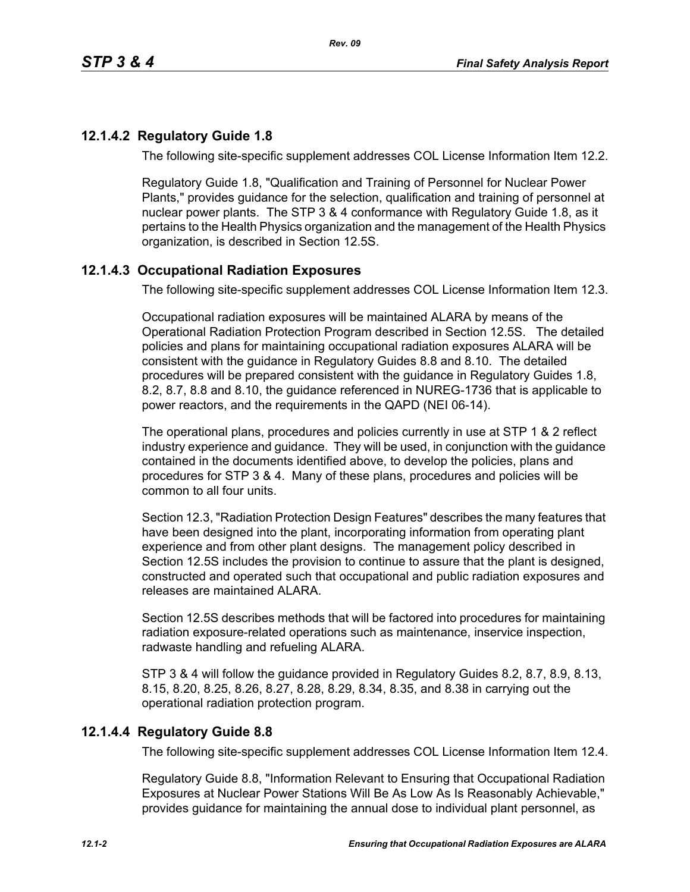# **12.1.4.2 Regulatory Guide 1.8**

The following site-specific supplement addresses COL License Information Item 12.2.

Regulatory Guide 1.8, "Qualification and Training of Personnel for Nuclear Power Plants," provides guidance for the selection, qualification and training of personnel at nuclear power plants. The STP 3 & 4 conformance with Regulatory Guide 1.8, as it pertains to the Health Physics organization and the management of the Health Physics organization, is described in Section 12.5S.

# **12.1.4.3 Occupational Radiation Exposures**

The following site-specific supplement addresses COL License Information Item 12.3.

Occupational radiation exposures will be maintained ALARA by means of the Operational Radiation Protection Program described in Section 12.5S. The detailed policies and plans for maintaining occupational radiation exposures ALARA will be consistent with the guidance in Regulatory Guides 8.8 and 8.10. The detailed procedures will be prepared consistent with the guidance in Regulatory Guides 1.8, 8.2, 8.7, 8.8 and 8.10, the guidance referenced in NUREG-1736 that is applicable to power reactors, and the requirements in the QAPD (NEI 06-14).

The operational plans, procedures and policies currently in use at STP 1 & 2 reflect industry experience and guidance. They will be used, in conjunction with the guidance contained in the documents identified above, to develop the policies, plans and procedures for STP 3 & 4. Many of these plans, procedures and policies will be common to all four units.

Section 12.3, "Radiation Protection Design Features" describes the many features that have been designed into the plant, incorporating information from operating plant experience and from other plant designs. The management policy described in Section 12.5S includes the provision to continue to assure that the plant is designed, constructed and operated such that occupational and public radiation exposures and releases are maintained ALARA

Section 12.5S describes methods that will be factored into procedures for maintaining radiation exposure-related operations such as maintenance, inservice inspection, radwaste handling and refueling ALARA.

STP 3 & 4 will follow the guidance provided in Regulatory Guides 8.2, 8.7, 8.9, 8.13, 8.15, 8.20, 8.25, 8.26, 8.27, 8.28, 8.29, 8.34, 8.35, and 8.38 in carrying out the operational radiation protection program.

### **12.1.4.4 Regulatory Guide 8.8**

The following site-specific supplement addresses COL License Information Item 12.4.

Regulatory Guide 8.8, "Information Relevant to Ensuring that Occupational Radiation Exposures at Nuclear Power Stations Will Be As Low As Is Reasonably Achievable," provides guidance for maintaining the annual dose to individual plant personnel, as